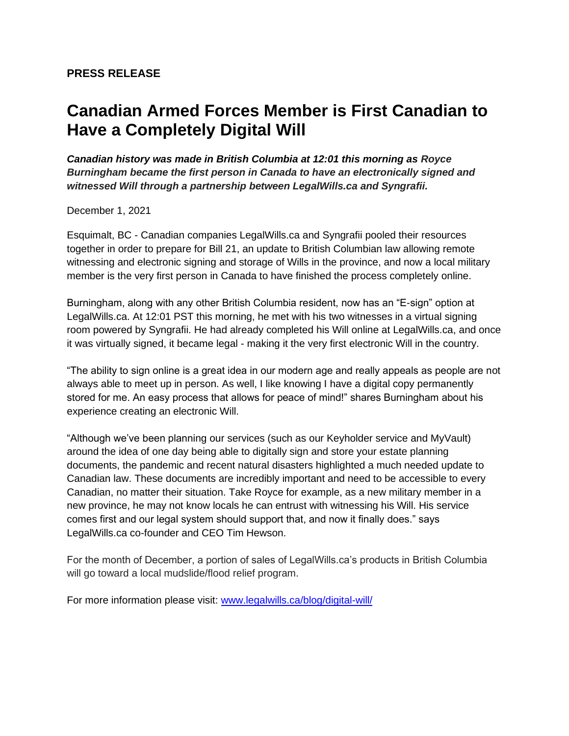## **Canadian Armed Forces Member is First Canadian to Have a Completely Digital Will**

*Canadian history was made in British Columbia at 12:01 this morning as Royce Burningham became the first person in Canada to have an electronically signed and witnessed Will through a partnership between LegalWills.ca and Syngrafii.* 

December 1, 2021

Esquimalt, BC - Canadian companies LegalWills.ca and Syngrafii pooled their resources together in order to prepare for Bill 21, an update to British Columbian law allowing remote witnessing and electronic signing and storage of Wills in the province, and now a local military member is the very first person in Canada to have finished the process completely online.

Burningham, along with any other British Columbia resident, now has an "E-sign" option at LegalWills.ca. At 12:01 PST this morning, he met with his two witnesses in a virtual signing room powered by Syngrafii. He had already completed his Will online at LegalWills.ca, and once it was virtually signed, it became legal - making it the very first electronic Will in the country.

"The ability to sign online is a great idea in our modern age and really appeals as people are not always able to meet up in person. As well, I like knowing I have a digital copy permanently stored for me. An easy process that allows for peace of mind!" shares Burningham about his experience creating an electronic Will.

"Although we've been planning our services (such as our Keyholder service and MyVault) around the idea of one day being able to digitally sign and store your estate planning documents, the pandemic and recent natural disasters highlighted a much needed update to Canadian law. These documents are incredibly important and need to be accessible to every Canadian, no matter their situation. Take Royce for example, as a new military member in a new province, he may not know locals he can entrust with witnessing his Will. His service comes first and our legal system should support that, and now it finally does." says LegalWills.ca co-founder and CEO Tim Hewson.

For the month of December, a portion of sales of LegalWills.ca's products in British Columbia will go toward a local mudslide/flood relief program.

For more information please visit: [www.legalwills.ca/blog/digital-will/](https://www.legalwills.ca/blog/digital-will/)